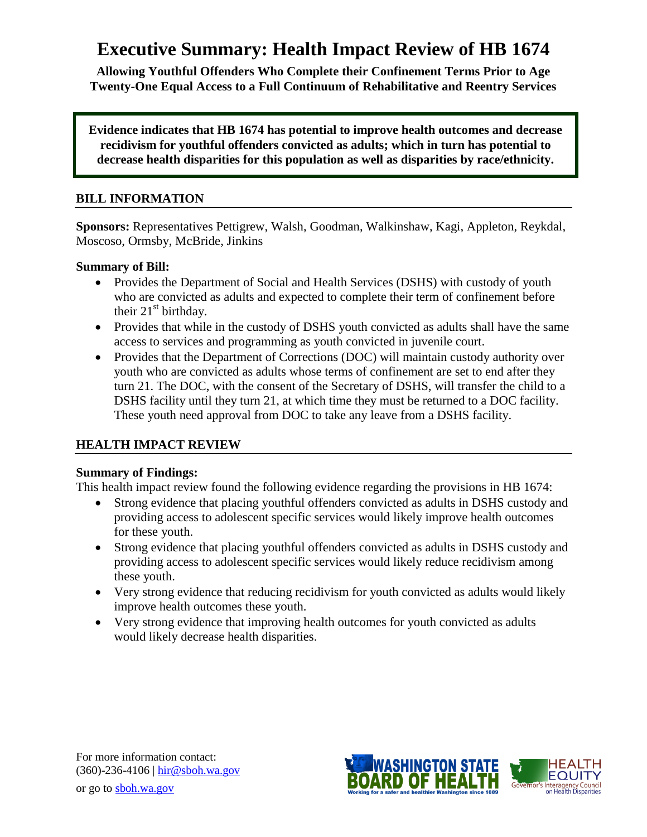# **Executive Summary: Health Impact Review of HB 1674**

**Allowing Youthful Offenders Who Complete their Confinement Terms Prior to Age Twenty-One Equal Access to a Full Continuum of Rehabilitative and Reentry Services**

**Evidence indicates that HB 1674 has potential to improve health outcomes and decrease recidivism for youthful offenders convicted as adults; which in turn has potential to decrease health disparities for this population as well as disparities by race/ethnicity.**

## **BILL INFORMATION**

**Sponsors:** Representatives [Pettigrew,](http://www.leg.wa.gov/house/representatives/pages/default.aspx#Pettigrew) [Walsh,](http://www.leg.wa.gov/house/representatives/pages/default.aspx#Walsh) [Goodman,](http://www.leg.wa.gov/house/representatives/pages/default.aspx#Goodman) [Walkinshaw,](http://www.leg.wa.gov/house/representatives/pages/default.aspx#Walkinshaw) [Kagi,](http://www.leg.wa.gov/house/representatives/pages/default.aspx#Kagi) [Appleton,](http://www.leg.wa.gov/house/representatives/pages/default.aspx#Appleton) [Reykdal,](http://www.leg.wa.gov/house/representatives/pages/default.aspx#Reykdal) [Moscoso,](http://www.leg.wa.gov/house/representatives/pages/default.aspx#Moscoso) [Ormsby,](http://www.leg.wa.gov/house/representatives/pages/default.aspx#Ormsby) [McBride,](http://www.leg.wa.gov/house/representatives/pages/default.aspx#McBride) [Jinkins](http://www.leg.wa.gov/house/representatives/pages/default.aspx#Jinkins)

#### **Summary of Bill:**

- Provides the Department of Social and Health Services (DSHS) with custody of youth who are convicted as adults and expected to complete their term of confinement before their  $21<sup>st</sup>$  birthday.
- Provides that while in the custody of DSHS youth convicted as adults shall have the same access to services and programming as youth convicted in juvenile court.
- Provides that the Department of Corrections (DOC) will maintain custody authority over youth who are convicted as adults whose terms of confinement are set to end after they turn 21. The DOC, with the consent of the Secretary of DSHS, will transfer the child to a DSHS facility until they turn 21, at which time they must be returned to a DOC facility. These youth need approval from DOC to take any leave from a DSHS facility.

# **HEALTH IMPACT REVIEW**

#### **Summary of Findings:**

This health impact review found the following evidence regarding the provisions in HB 1674:

- Strong evidence that placing youthful offenders convicted as adults in DSHS custody and providing access to adolescent specific services would likely improve health outcomes for these youth.
- Strong evidence that placing youthful offenders convicted as adults in DSHS custody and providing access to adolescent specific services would likely reduce recidivism among these youth.
- Very strong evidence that reducing recidivism for youth convicted as adults would likely improve health outcomes these youth.
- Very strong evidence that improving health outcomes for youth convicted as adults would likely decrease health disparities.



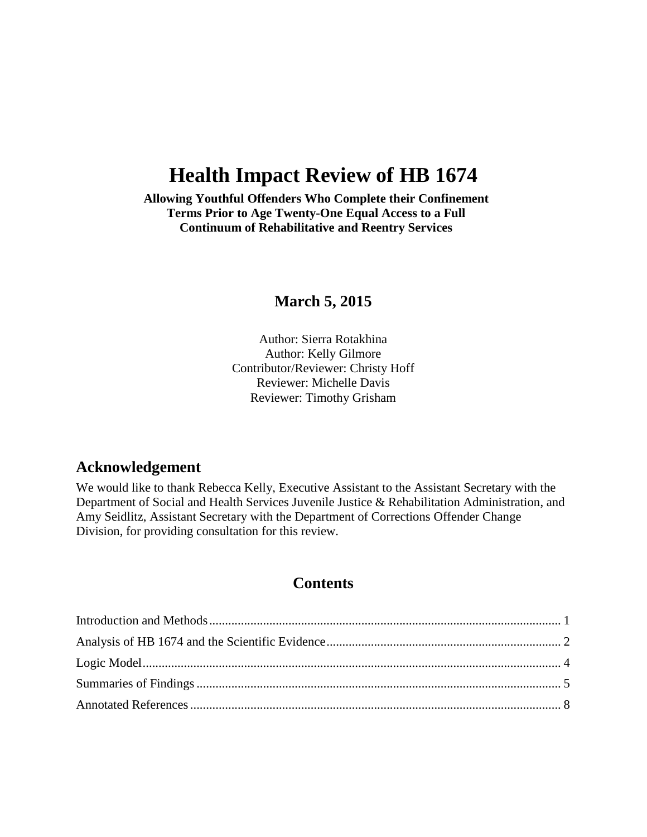# **Health Impact Review of HB 1674**

**Allowing Youthful Offenders Who Complete their Confinement Terms Prior to Age Twenty-One Equal Access to a Full Continuum of Rehabilitative and Reentry Services**

# **March 5, 2015**

Author: Sierra Rotakhina Author: Kelly Gilmore Contributor/Reviewer: Christy Hoff Reviewer: Michelle Davis Reviewer: Timothy Grisham

# **Acknowledgement**

We would like to thank Rebecca Kelly, Executive Assistant to the Assistant Secretary with the Department of Social and Health Services Juvenile Justice & Rehabilitation Administration, and Amy Seidlitz, Assistant Secretary with the Department of Corrections Offender Change Division, for providing consultation for this review.

# **Contents**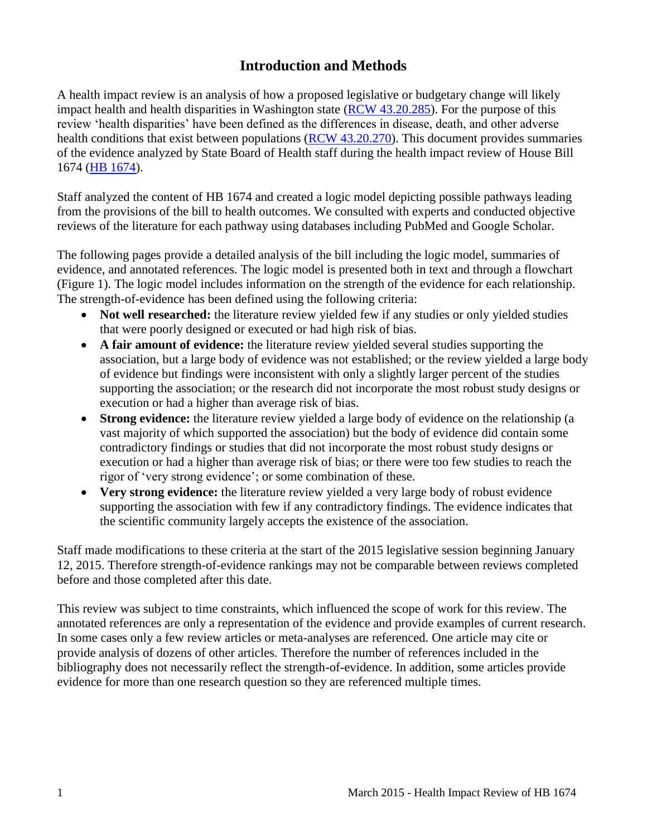# **Introduction and Methods**

<span id="page-2-0"></span>A health impact review is an analysis of how a proposed legislative or budgetary change will likely impact health and health disparities in Washington state [\(RCW 43.20.285\)](http://apps.leg.wa.gov/rcw/default.aspx?cite=43.20.285). For the purpose of this review 'health disparities' have been defined as the differences in disease, death, and other adverse health conditions that exist between populations [\(RCW 43.20.270\)](http://apps.leg.wa.gov/rcw/default.aspx?cite=43.20.270). This document provides summaries of the evidence analyzed by State Board of Health staff during the health impact review of House Bill 1674 [\(HB 1674\)](http://lawfilesext.leg.wa.gov/biennium/2015-16/Pdf/Bills/House%20Bills/1674.pdf).

Staff analyzed the content of HB 1674 and created a logic model depicting possible pathways leading from the provisions of the bill to health outcomes. We consulted with experts and conducted objective reviews of the literature for each pathway using databases including PubMed and Google Scholar.

The following pages provide a detailed analysis of the bill including the logic model, summaries of evidence, and annotated references. The logic model is presented both in text and through a flowchart (Figure 1). The logic model includes information on the strength of the evidence for each relationship. The strength-of-evidence has been defined using the following criteria:

- Not well researched: the literature review yielded few if any studies or only yielded studies that were poorly designed or executed or had high risk of bias.
- **A fair amount of evidence:** the literature review yielded several studies supporting the association, but a large body of evidence was not established; or the review yielded a large body of evidence but findings were inconsistent with only a slightly larger percent of the studies supporting the association; or the research did not incorporate the most robust study designs or execution or had a higher than average risk of bias.
- **Strong evidence:** the literature review yielded a large body of evidence on the relationship (a vast majority of which supported the association) but the body of evidence did contain some contradictory findings or studies that did not incorporate the most robust study designs or execution or had a higher than average risk of bias; or there were too few studies to reach the rigor of 'very strong evidence'; or some combination of these.
- **Very strong evidence:** the literature review yielded a very large body of robust evidence supporting the association with few if any contradictory findings. The evidence indicates that the scientific community largely accepts the existence of the association.

Staff made modifications to these criteria at the start of the 2015 legislative session beginning January 12, 2015. Therefore strength-of-evidence rankings may not be comparable between reviews completed before and those completed after this date.

This review was subject to time constraints, which influenced the scope of work for this review. The annotated references are only a representation of the evidence and provide examples of current research. In some cases only a few review articles or meta-analyses are referenced. One article may cite or provide analysis of dozens of other articles. Therefore the number of references included in the bibliography does not necessarily reflect the strength-of-evidence. In addition, some articles provide evidence for more than one research question so they are referenced multiple times.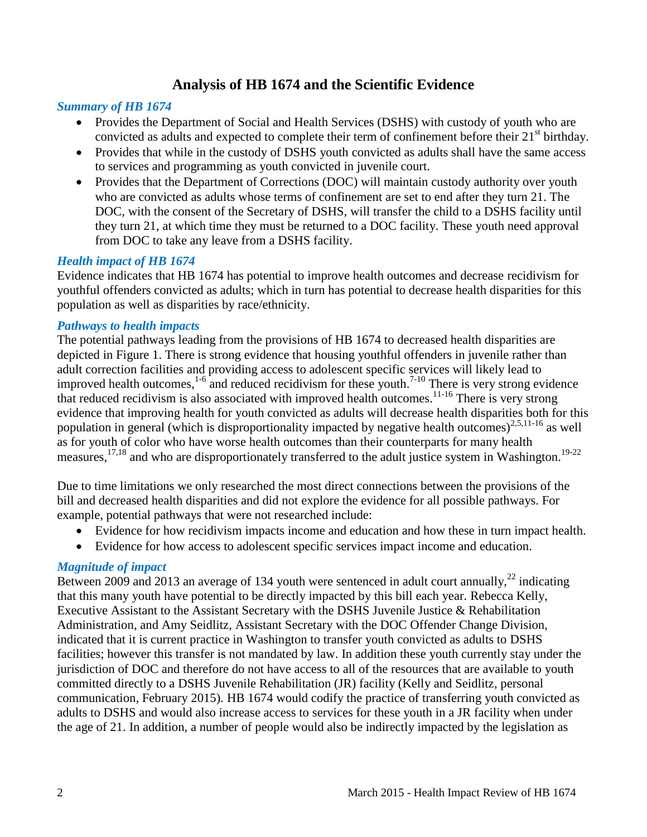# **Analysis of HB 1674 and the Scientific Evidence**

#### <span id="page-3-0"></span>*Summary of HB 1674*

- Provides the Department of Social and Health Services (DSHS) with custody of youth who are convicted as adults and expected to complete their term of confinement before their  $21<sup>st</sup>$  birthday.
- Provides that while in the custody of DSHS youth convicted as adults shall have the same access to services and programming as youth convicted in juvenile court.
- Provides that the Department of Corrections (DOC) will maintain custody authority over youth who are convicted as adults whose terms of confinement are set to end after they turn 21. The DOC, with the consent of the Secretary of DSHS, will transfer the child to a DSHS facility until they turn 21, at which time they must be returned to a DOC facility. These youth need approval from DOC to take any leave from a DSHS facility.

#### *Health impact of HB 1674*

Evidence indicates that HB 1674 has potential to improve health outcomes and decrease recidivism for youthful offenders convicted as adults; which in turn has potential to decrease health disparities for this population as well as disparities by race/ethnicity.

#### *Pathways to health impacts*

The potential pathways leading from the provisions of HB 1674 to decreased health disparities are depicted in Figure 1. There is strong evidence that housing youthful offenders in juvenile rather than adult correction facilities and providing access to adolescent specific services will likely lead to improved health outcomes,  $1-6$  and reduced recidivism for these youth.<sup>[7-10](#page-11-0)</sup> There is very strong evidence that reduced recidivism is also associated with improved health outcomes.<sup>[11-16](#page-13-0)</sup> There is very strong evidence that improving health for youth convicted as adults will decrease health disparities both for this population in general (which is disproportionality impacted by negative health outcomes)<sup>[2](#page-9-2)[,5](#page-11-1)[,11-16](#page-13-0)</sup> as well as for youth of color who have worse health outcomes than their counterparts for many health measures,<sup>[17,](#page-15-0)[18](#page-15-1)</sup> and who are disproportionately transferred to the adult justice system in Washington.<sup>[19-22](#page-15-2)</sup>

Due to time limitations we only researched the most direct connections between the provisions of the bill and decreased health disparities and did not explore the evidence for all possible pathways. For example, potential pathways that were not researched include:

- Evidence for how recidivism impacts income and education and how these in turn impact health.
- Evidence for how access to adolescent specific services impact income and education.

#### *Magnitude of impact*

Between 2009 and 2013 an average of 134 youth were sentenced in adult court annually, $^{22}$  $^{22}$  $^{22}$  indicating that this many youth have potential to be directly impacted by this bill each year. Rebecca Kelly, Executive Assistant to the Assistant Secretary with the DSHS Juvenile Justice & Rehabilitation Administration, and Amy Seidlitz, Assistant Secretary with the DOC Offender Change Division, indicated that it is current practice in Washington to transfer youth convicted as adults to DSHS facilities; however this transfer is not mandated by law. In addition these youth currently stay under the jurisdiction of DOC and therefore do not have access to all of the resources that are available to youth committed directly to a DSHS Juvenile Rehabilitation (JR) facility (Kelly and Seidlitz, personal communication, February 2015). HB 1674 would codify the practice of transferring youth convicted as adults to DSHS and would also increase access to services for these youth in a JR facility when under the age of 21. In addition, a number of people would also be indirectly impacted by the legislation as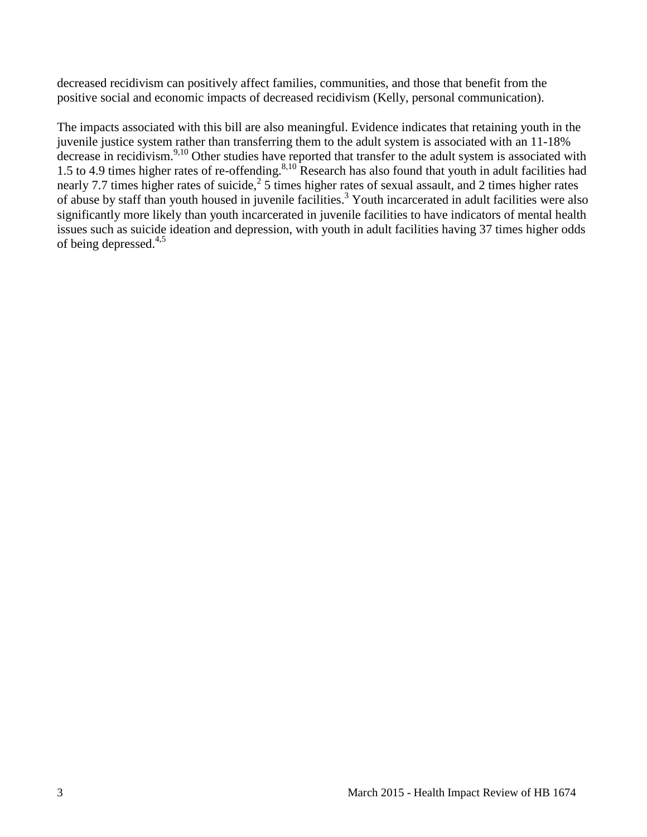decreased recidivism can positively affect families, communities, and those that benefit from the positive social and economic impacts of decreased recidivism (Kelly, personal communication).

The impacts associated with this bill are also meaningful. Evidence indicates that retaining youth in the juvenile justice system rather than transferring them to the adult system is associated with an 11-18% decrease in recidivism.<sup>[9,](#page-12-0)[10](#page-13-1)</sup> Other studies have reported that transfer to the adult system is associated with 1.5 to 4.9 times higher rates of re-offending.<sup>[8,](#page-12-1)[10](#page-13-1)</sup> Research has also found that youth in adult facilities had nearly 7.7 times higher rates of suicide,<sup>[2](#page-9-2)</sup> 5 times higher rates of sexual assault, and 2 times higher rates of abuse by staff than youth housed in juvenile facilities.[3](#page-9-3) Youth incarcerated in adult facilities were also significantly more likely than youth incarcerated in juvenile facilities to have indicators of mental health issues such as suicide ideation and depression, with youth in adult facilities having 37 times higher odds of being depressed. $4,5$  $4,5$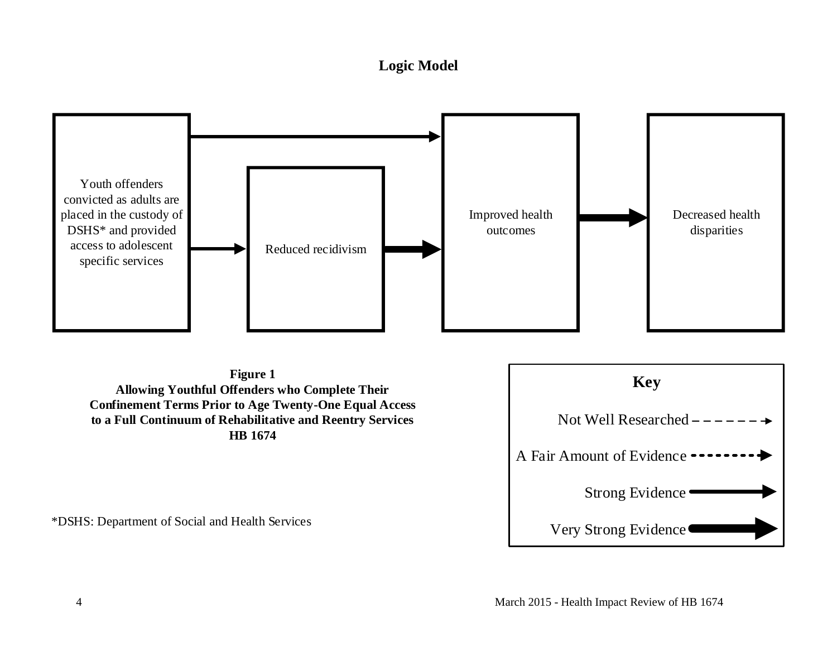# **Logic Model**



<span id="page-5-0"></span>**Figure 1 Allowing Youthful Offenders who Complete Their Confinement Terms Prior to Age Twenty-One Equal Access to a Full Continuum of Rehabilitative and Reentry Services HB 1674**

\*DSHS: Department of Social and Health Services

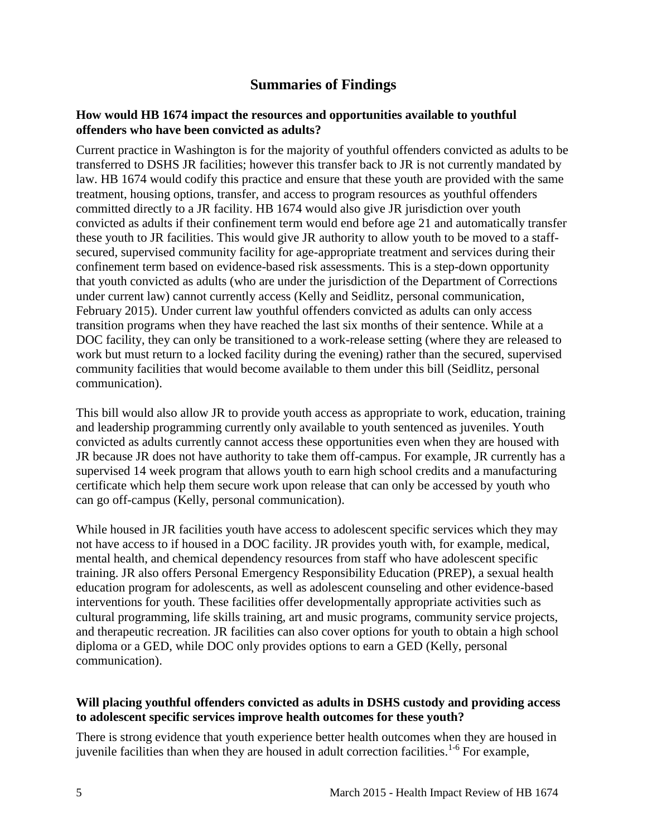# **Summaries of Findings**

#### <span id="page-6-0"></span>**How would HB 1674 impact the resources and opportunities available to youthful offenders who have been convicted as adults?**

Current practice in Washington is for the majority of youthful offenders convicted as adults to be transferred to DSHS JR facilities; however this transfer back to JR is not currently mandated by law. HB 1674 would codify this practice and ensure that these youth are provided with the same treatment, housing options, transfer, and access to program resources as youthful offenders committed directly to a JR facility. HB 1674 would also give JR jurisdiction over youth convicted as adults if their confinement term would end before age 21 and automatically transfer these youth to JR facilities. This would give JR authority to allow youth to be moved to a staffsecured, supervised community facility for age-appropriate treatment and services during their confinement term based on evidence-based risk assessments. This is a step-down opportunity that youth convicted as adults (who are under the jurisdiction of the Department of Corrections under current law) cannot currently access (Kelly and Seidlitz, personal communication, February 2015). Under current law youthful offenders convicted as adults can only access transition programs when they have reached the last six months of their sentence. While at a DOC facility, they can only be transitioned to a work-release setting (where they are released to work but must return to a locked facility during the evening) rather than the secured, supervised community facilities that would become available to them under this bill (Seidlitz, personal communication).

This bill would also allow JR to provide youth access as appropriate to work, education, training and leadership programming currently only available to youth sentenced as juveniles. Youth convicted as adults currently cannot access these opportunities even when they are housed with JR because JR does not have authority to take them off-campus. For example, JR currently has a supervised 14 week program that allows youth to earn high school credits and a manufacturing certificate which help them secure work upon release that can only be accessed by youth who can go off-campus (Kelly, personal communication).

While housed in JR facilities youth have access to adolescent specific services which they may not have access to if housed in a DOC facility. JR provides youth with, for example, medical, mental health, and chemical dependency resources from staff who have adolescent specific training. JR also offers Personal Emergency Responsibility Education (PREP), a sexual health education program for adolescents, as well as adolescent counseling and other evidence-based interventions for youth. These facilities offer developmentally appropriate activities such as cultural programming, life skills training, art and music programs, community service projects, and therapeutic recreation. JR facilities can also cover options for youth to obtain a high school diploma or a GED, while DOC only provides options to earn a GED (Kelly, personal communication).

#### **Will placing youthful offenders convicted as adults in DSHS custody and providing access to adolescent specific services improve health outcomes for these youth?**

There is strong evidence that youth experience better health outcomes when they are housed in juvenile facilities than when they are housed in adult correction facilities.<sup>[1-6](#page-9-1)</sup> For example,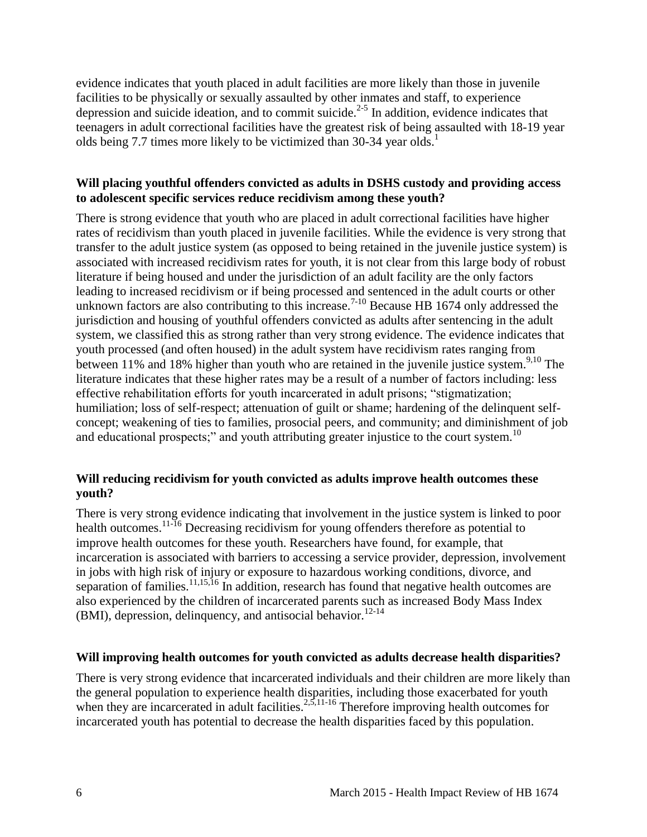evidence indicates that youth placed in adult facilities are more likely than those in juvenile facilities to be physically or sexually assaulted by other inmates and staff, to experience depression and suicide ideation, and to commit suicide.<sup>[2-5](#page-9-2)</sup> In addition, evidence indicates that teenagers in adult correctional facilities have the greatest risk of being assaulted with 18-19 year olds being 7.7 times more likely to be victimized than 30-34 year olds.<sup>[1](#page-9-1)</sup>

#### **Will placing youthful offenders convicted as adults in DSHS custody and providing access to adolescent specific services reduce recidivism among these youth?**

There is strong evidence that youth who are placed in adult correctional facilities have higher rates of recidivism than youth placed in juvenile facilities. While the evidence is very strong that transfer to the adult justice system (as opposed to being retained in the juvenile justice system) is associated with increased recidivism rates for youth, it is not clear from this large body of robust literature if being housed and under the jurisdiction of an adult facility are the only factors leading to increased recidivism or if being processed and sentenced in the adult courts or other unknown factors are also contributing to this increase.<sup>[7-10](#page-11-0)</sup> Because HB 1674 only addressed the jurisdiction and housing of youthful offenders convicted as adults after sentencing in the adult system, we classified this as strong rather than very strong evidence. The evidence indicates that youth processed (and often housed) in the adult system have recidivism rates ranging from between 11% and 18% higher than youth who are retained in the juvenile justice system.<sup>[9](#page-12-0)[,10](#page-13-1)</sup> The literature indicates that these higher rates may be a result of a number of factors including: less effective rehabilitation efforts for youth incarcerated in adult prisons; "stigmatization; humiliation; loss of self-respect; attenuation of guilt or shame; hardening of the delinquent selfconcept; weakening of ties to families, prosocial peers, and community; and diminishment of job and educational prospects;" and youth attributing greater injustice to the court system.<sup>[10](#page-13-1)</sup>

#### **Will reducing recidivism for youth convicted as adults improve health outcomes these youth?**

There is very strong evidence indicating that involvement in the justice system is linked to poor health outcomes.<sup>[11-16](#page-13-0)</sup> Decreasing recidivism for young offenders therefore as potential to improve health outcomes for these youth. Researchers have found, for example, that incarceration is associated with barriers to accessing a service provider, depression, involvement in jobs with high risk of injury or exposure to hazardous working conditions, divorce, and separation of families.<sup>[11](#page-13-0)[,15](#page-14-0)[,16](#page-14-1)</sup> In addition, research has found that negative health outcomes are also experienced by the children of incarcerated parents such as increased Body Mass Index (BMI), depression, delinquency, and antisocial behavior.<sup>[12-14](#page-13-2)</sup>

#### **Will improving health outcomes for youth convicted as adults decrease health disparities?**

There is very strong evidence that incarcerated individuals and their children are more likely than the general population to experience health disparities, including those exacerbated for youth when they are incarcerated in adult facilities.<sup>[2,](#page-9-2)[5,](#page-11-1)[11-16](#page-13-0)</sup> Therefore improving health outcomes for incarcerated youth has potential to decrease the health disparities faced by this population.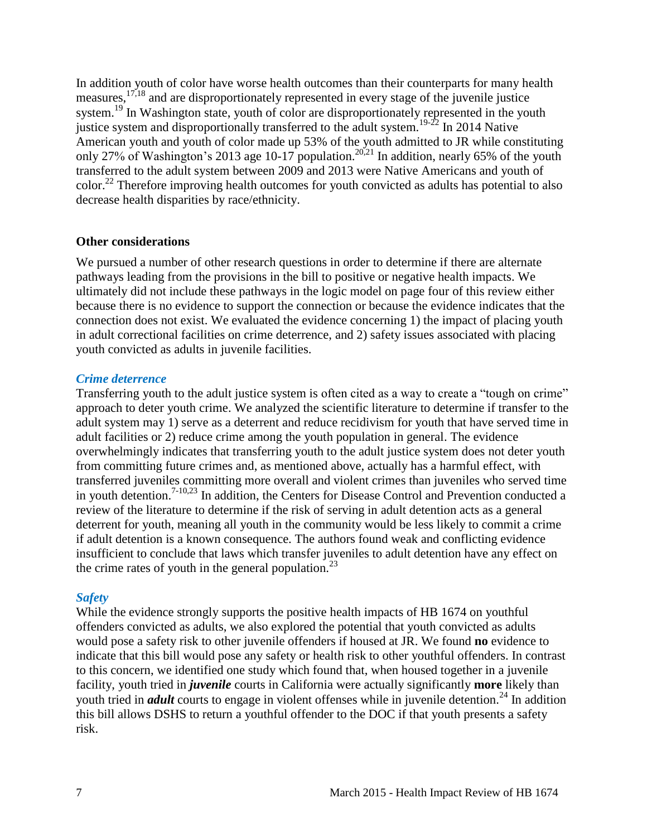In addition youth of color have worse health outcomes than their counterparts for many health measures,[17,](#page-15-0)[18](#page-15-1) and are disproportionately represented in every stage of the juvenile justice system.<sup>[19](#page-15-2)</sup> In Washington state, youth of color are disproportionately represented in the youth justice system and disproportionally transferred to the adult system.<sup>[19-22](#page-15-2)</sup> In 2014 Native American youth and youth of color made up 53% of the youth admitted to JR while constituting only 27% of Washington's [20](#page-15-3)13 age 10-17 population.<sup>20[,21](#page-16-1)</sup> In addition, nearly 65% of the youth transferred to the adult system between 2009 and 2013 were Native Americans and youth of color.[22](#page-16-0) Therefore improving health outcomes for youth convicted as adults has potential to also decrease health disparities by race/ethnicity.

#### **Other considerations**

We pursued a number of other research questions in order to determine if there are alternate pathways leading from the provisions in the bill to positive or negative health impacts. We ultimately did not include these pathways in the logic model on page four of this review either because there is no evidence to support the connection or because the evidence indicates that the connection does not exist. We evaluated the evidence concerning 1) the impact of placing youth in adult correctional facilities on crime deterrence, and 2) safety issues associated with placing youth convicted as adults in juvenile facilities.

#### *Crime deterrence*

Transferring youth to the adult justice system is often cited as a way to create a "tough on crime" approach to deter youth crime. We analyzed the scientific literature to determine if transfer to the adult system may 1) serve as a deterrent and reduce recidivism for youth that have served time in adult facilities or 2) reduce crime among the youth population in general. The evidence overwhelmingly indicates that transferring youth to the adult justice system does not deter youth from committing future crimes and, as mentioned above, actually has a harmful effect, with transferred juveniles committing more overall and violent crimes than juveniles who served time in youth detention.<sup>[7-10](#page-11-0)[,23](#page-16-2)</sup> In addition, the Centers for Disease Control and Prevention conducted a review of the literature to determine if the risk of serving in adult detention acts as a general deterrent for youth, meaning all youth in the community would be less likely to commit a crime if adult detention is a known consequence. The authors found weak and conflicting evidence insufficient to conclude that laws which transfer juveniles to adult detention have any effect on the crime rates of youth in the general population.<sup>[23](#page-16-2)</sup>

#### *Safety*

While the evidence strongly supports the positive health impacts of HB 1674 on youthful offenders convicted as adults, we also explored the potential that youth convicted as adults would pose a safety risk to other juvenile offenders if housed at JR. We found **no** evidence to indicate that this bill would pose any safety or health risk to other youthful offenders. In contrast to this concern, we identified one study which found that, when housed together in a juvenile facility, youth tried in *juvenile* courts in California were actually significantly **more** likely than youth tried in *adult* courts to engage in violent offenses while in juvenile detention.<sup>[24](#page-17-0)</sup> In addition this bill allows DSHS to return a youthful offender to the DOC if that youth presents a safety risk.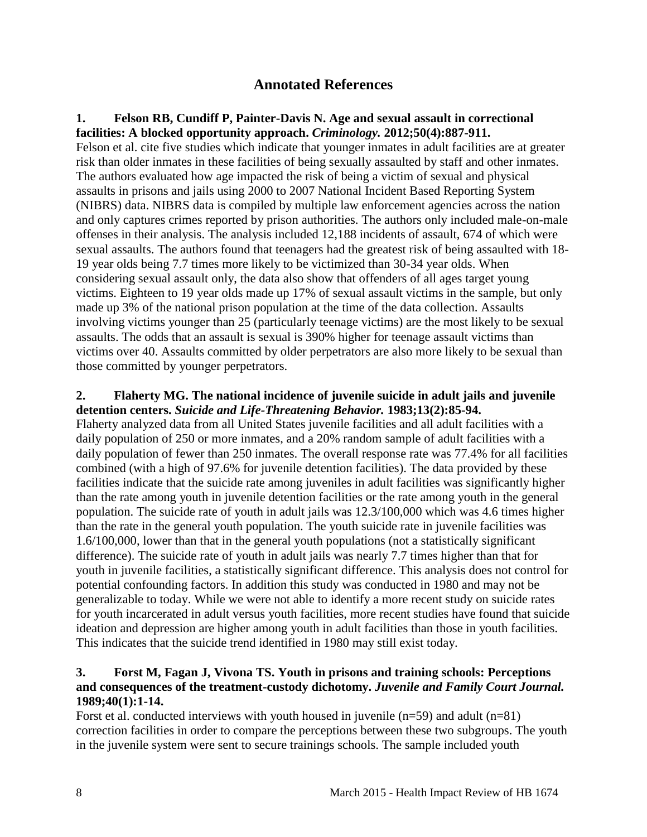# **Annotated References**

#### <span id="page-9-1"></span><span id="page-9-0"></span>**1. Felson RB, Cundiff P, Painter-Davis N. Age and sexual assault in correctional facilities: A blocked opportunity approach.** *Criminology.* **2012;50(4):887-911.**

Felson et al. cite five studies which indicate that younger inmates in adult facilities are at greater risk than older inmates in these facilities of being sexually assaulted by staff and other inmates. The authors evaluated how age impacted the risk of being a victim of sexual and physical assaults in prisons and jails using 2000 to 2007 National Incident Based Reporting System (NIBRS) data. NIBRS data is compiled by multiple law enforcement agencies across the nation and only captures crimes reported by prison authorities. The authors only included male-on-male offenses in their analysis. The analysis included 12,188 incidents of assault, 674 of which were sexual assaults. The authors found that teenagers had the greatest risk of being assaulted with 18- 19 year olds being 7.7 times more likely to be victimized than 30-34 year olds. When considering sexual assault only, the data also show that offenders of all ages target young victims. Eighteen to 19 year olds made up 17% of sexual assault victims in the sample, but only made up 3% of the national prison population at the time of the data collection. Assaults involving victims younger than 25 (particularly teenage victims) are the most likely to be sexual assaults. The odds that an assault is sexual is 390% higher for teenage assault victims than victims over 40. Assaults committed by older perpetrators are also more likely to be sexual than those committed by younger perpetrators.

#### <span id="page-9-2"></span>**2. Flaherty MG. The national incidence of juvenile suicide in adult jails and juvenile detention centers.** *Suicide and Life-Threatening Behavior.* **1983;13(2):85-94.**

Flaherty analyzed data from all United States juvenile facilities and all adult facilities with a daily population of 250 or more inmates, and a 20% random sample of adult facilities with a daily population of fewer than 250 inmates. The overall response rate was 77.4% for all facilities combined (with a high of 97.6% for juvenile detention facilities). The data provided by these facilities indicate that the suicide rate among juveniles in adult facilities was significantly higher than the rate among youth in juvenile detention facilities or the rate among youth in the general population. The suicide rate of youth in adult jails was 12.3/100,000 which was 4.6 times higher than the rate in the general youth population. The youth suicide rate in juvenile facilities was 1.6/100,000, lower than that in the general youth populations (not a statistically significant difference). The suicide rate of youth in adult jails was nearly 7.7 times higher than that for youth in juvenile facilities, a statistically significant difference. This analysis does not control for potential confounding factors. In addition this study was conducted in 1980 and may not be generalizable to today. While we were not able to identify a more recent study on suicide rates for youth incarcerated in adult versus youth facilities, more recent studies have found that suicide ideation and depression are higher among youth in adult facilities than those in youth facilities. This indicates that the suicide trend identified in 1980 may still exist today.

#### <span id="page-9-3"></span>**3. Forst M, Fagan J, Vivona TS. Youth in prisons and training schools: Perceptions and consequences of the treatment-custody dichotomy.** *Juvenile and Family Court Journal.*  **1989;40(1):1-14.**

Forst et al. conducted interviews with youth housed in juvenile  $(n=59)$  and adult  $(n=81)$ correction facilities in order to compare the perceptions between these two subgroups. The youth in the juvenile system were sent to secure trainings schools. The sample included youth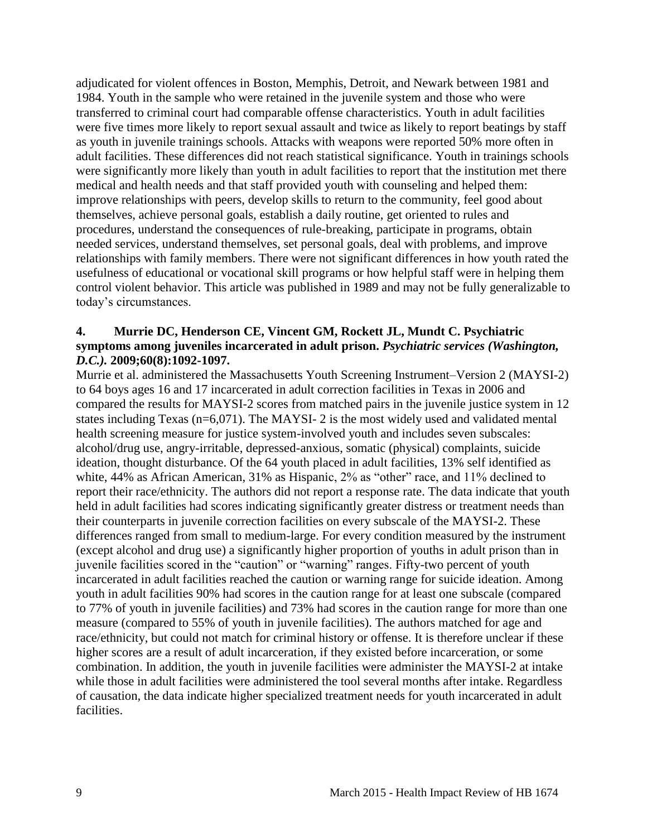adjudicated for violent offences in Boston, Memphis, Detroit, and Newark between 1981 and 1984. Youth in the sample who were retained in the juvenile system and those who were transferred to criminal court had comparable offense characteristics. Youth in adult facilities were five times more likely to report sexual assault and twice as likely to report beatings by staff as youth in juvenile trainings schools. Attacks with weapons were reported 50% more often in adult facilities. These differences did not reach statistical significance. Youth in trainings schools were significantly more likely than youth in adult facilities to report that the institution met there medical and health needs and that staff provided youth with counseling and helped them: improve relationships with peers, develop skills to return to the community, feel good about themselves, achieve personal goals, establish a daily routine, get oriented to rules and procedures, understand the consequences of rule-breaking, participate in programs, obtain needed services, understand themselves, set personal goals, deal with problems, and improve relationships with family members. There were not significant differences in how youth rated the usefulness of educational or vocational skill programs or how helpful staff were in helping them control violent behavior. This article was published in 1989 and may not be fully generalizable to today's circumstances.

#### <span id="page-10-0"></span>**4. Murrie DC, Henderson CE, Vincent GM, Rockett JL, Mundt C. Psychiatric symptoms among juveniles incarcerated in adult prison.** *Psychiatric services (Washington, D.C.).* **2009;60(8):1092-1097.**

Murrie et al. administered the Massachusetts Youth Screening Instrument–Version 2 (MAYSI-2) to 64 boys ages 16 and 17 incarcerated in adult correction facilities in Texas in 2006 and compared the results for MAYSI-2 scores from matched pairs in the juvenile justice system in 12 states including Texas (n=6,071). The MAYSI- 2 is the most widely used and validated mental health screening measure for justice system-involved youth and includes seven subscales: alcohol/drug use, angry-irritable, depressed-anxious, somatic (physical) complaints, suicide ideation, thought disturbance. Of the 64 youth placed in adult facilities, 13% self identified as white, 44% as African American, 31% as Hispanic, 2% as "other" race, and 11% declined to report their race/ethnicity. The authors did not report a response rate. The data indicate that youth held in adult facilities had scores indicating significantly greater distress or treatment needs than their counterparts in juvenile correction facilities on every subscale of the MAYSI-2. These differences ranged from small to medium-large. For every condition measured by the instrument (except alcohol and drug use) a significantly higher proportion of youths in adult prison than in juvenile facilities scored in the "caution" or "warning" ranges. Fifty-two percent of youth incarcerated in adult facilities reached the caution or warning range for suicide ideation. Among youth in adult facilities 90% had scores in the caution range for at least one subscale (compared to 77% of youth in juvenile facilities) and 73% had scores in the caution range for more than one measure (compared to 55% of youth in juvenile facilities). The authors matched for age and race/ethnicity, but could not match for criminal history or offense. It is therefore unclear if these higher scores are a result of adult incarceration, if they existed before incarceration, or some combination. In addition, the youth in juvenile facilities were administer the MAYSI-2 at intake while those in adult facilities were administered the tool several months after intake. Regardless of causation, the data indicate higher specialized treatment needs for youth incarcerated in adult facilities.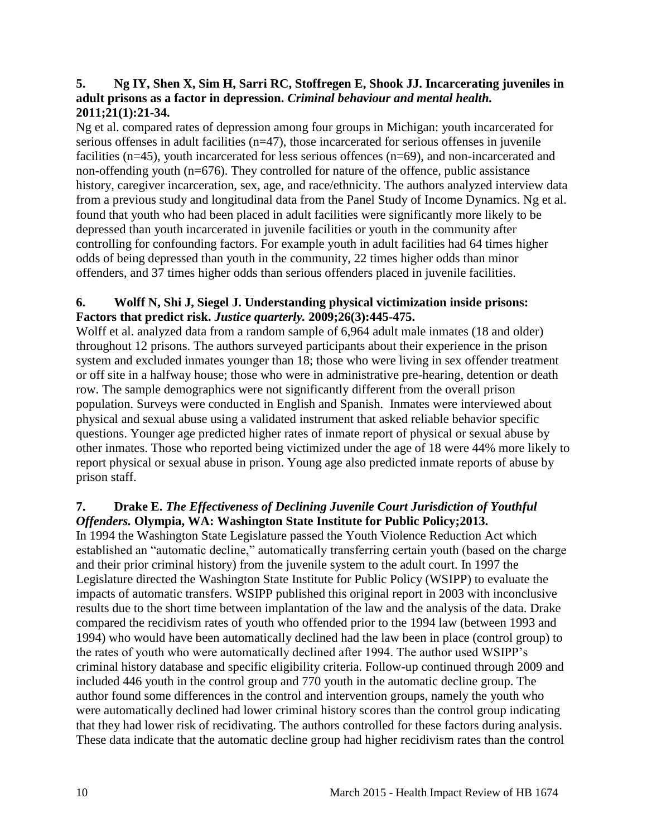#### <span id="page-11-1"></span>**5. Ng IY, Shen X, Sim H, Sarri RC, Stoffregen E, Shook JJ. Incarcerating juveniles in adult prisons as a factor in depression.** *Criminal behaviour and mental health.*  **2011;21(1):21-34.**

Ng et al. compared rates of depression among four groups in Michigan: youth incarcerated for serious offenses in adult facilities (n=47), those incarcerated for serious offenses in juvenile facilities (n=45), youth incarcerated for less serious offences (n=69), and non-incarcerated and non-offending youth (n=676). They controlled for nature of the offence, public assistance history, caregiver incarceration, sex, age, and race/ethnicity. The authors analyzed interview data from a previous study and longitudinal data from the Panel Study of Income Dynamics. Ng et al. found that youth who had been placed in adult facilities were significantly more likely to be depressed than youth incarcerated in juvenile facilities or youth in the community after controlling for confounding factors. For example youth in adult facilities had 64 times higher odds of being depressed than youth in the community, 22 times higher odds than minor offenders, and 37 times higher odds than serious offenders placed in juvenile facilities.

#### **6. Wolff N, Shi J, Siegel J. Understanding physical victimization inside prisons: Factors that predict risk.** *Justice quarterly.* **2009;26(3):445-475.**

Wolff et al. analyzed data from a random sample of 6,964 adult male inmates (18 and older) throughout 12 prisons. The authors surveyed participants about their experience in the prison system and excluded inmates younger than 18; those who were living in sex offender treatment or off site in a halfway house; those who were in administrative pre-hearing, detention or death row. The sample demographics were not significantly different from the overall prison population. Surveys were conducted in English and Spanish. Inmates were interviewed about physical and sexual abuse using a validated instrument that asked reliable behavior specific questions. Younger age predicted higher rates of inmate report of physical or sexual abuse by other inmates. Those who reported being victimized under the age of 18 were 44% more likely to report physical or sexual abuse in prison. Young age also predicted inmate reports of abuse by prison staff.

## <span id="page-11-0"></span>**7. Drake E.** *The Effectiveness of Declining Juvenile Court Jurisdiction of Youthful Offenders.* **Olympia, WA: Washington State Institute for Public Policy;2013.**

In 1994 the Washington State Legislature passed the Youth Violence Reduction Act which established an "automatic decline," automatically transferring certain youth (based on the charge and their prior criminal history) from the juvenile system to the adult court. In 1997 the Legislature directed the Washington State Institute for Public Policy (WSIPP) to evaluate the impacts of automatic transfers. WSIPP published this original report in 2003 with inconclusive results due to the short time between implantation of the law and the analysis of the data. Drake compared the recidivism rates of youth who offended prior to the 1994 law (between 1993 and 1994) who would have been automatically declined had the law been in place (control group) to the rates of youth who were automatically declined after 1994. The author used WSIPP's criminal history database and specific eligibility criteria. Follow-up continued through 2009 and included 446 youth in the control group and 770 youth in the automatic decline group. The author found some differences in the control and intervention groups, namely the youth who were automatically declined had lower criminal history scores than the control group indicating that they had lower risk of recidivating. The authors controlled for these factors during analysis. These data indicate that the automatic decline group had higher recidivism rates than the control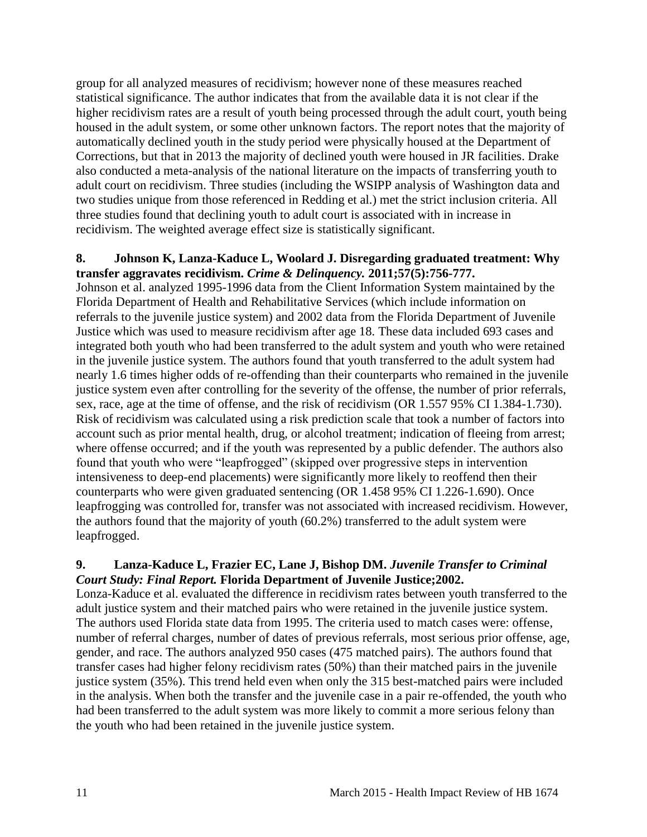group for all analyzed measures of recidivism; however none of these measures reached statistical significance. The author indicates that from the available data it is not clear if the higher recidivism rates are a result of youth being processed through the adult court, youth being housed in the adult system, or some other unknown factors. The report notes that the majority of automatically declined youth in the study period were physically housed at the Department of Corrections, but that in 2013 the majority of declined youth were housed in JR facilities. Drake also conducted a meta-analysis of the national literature on the impacts of transferring youth to adult court on recidivism. Three studies (including the WSIPP analysis of Washington data and two studies unique from those referenced in Redding et al.) met the strict inclusion criteria. All three studies found that declining youth to adult court is associated with in increase in recidivism. The weighted average effect size is statistically significant.

#### <span id="page-12-1"></span>**8. Johnson K, Lanza-Kaduce L, Woolard J. Disregarding graduated treatment: Why transfer aggravates recidivism.** *Crime & Delinquency.* **2011;57(5):756-777.**

Johnson et al. analyzed 1995-1996 data from the Client Information System maintained by the Florida Department of Health and Rehabilitative Services (which include information on referrals to the juvenile justice system) and 2002 data from the Florida Department of Juvenile Justice which was used to measure recidivism after age 18. These data included 693 cases and integrated both youth who had been transferred to the adult system and youth who were retained in the juvenile justice system. The authors found that youth transferred to the adult system had nearly 1.6 times higher odds of re-offending than their counterparts who remained in the juvenile justice system even after controlling for the severity of the offense, the number of prior referrals, sex, race, age at the time of offense, and the risk of recidivism (OR 1.557 95% CI 1.384-1.730). Risk of recidivism was calculated using a risk prediction scale that took a number of factors into account such as prior mental health, drug, or alcohol treatment; indication of fleeing from arrest; where offense occurred; and if the youth was represented by a public defender. The authors also found that youth who were "leapfrogged" (skipped over progressive steps in intervention intensiveness to deep-end placements) were significantly more likely to reoffend then their counterparts who were given graduated sentencing (OR 1.458 95% CI 1.226-1.690). Once leapfrogging was controlled for, transfer was not associated with increased recidivism. However, the authors found that the majority of youth (60.2%) transferred to the adult system were leapfrogged.

#### <span id="page-12-0"></span>**9. Lanza-Kaduce L, Frazier EC, Lane J, Bishop DM.** *Juvenile Transfer to Criminal Court Study: Final Report.* **Florida Department of Juvenile Justice;2002.**

Lonza-Kaduce et al. evaluated the difference in recidivism rates between youth transferred to the adult justice system and their matched pairs who were retained in the juvenile justice system. The authors used Florida state data from 1995. The criteria used to match cases were: offense, number of referral charges, number of dates of previous referrals, most serious prior offense, age, gender, and race. The authors analyzed 950 cases (475 matched pairs). The authors found that transfer cases had higher felony recidivism rates (50%) than their matched pairs in the juvenile justice system (35%). This trend held even when only the 315 best-matched pairs were included in the analysis. When both the transfer and the juvenile case in a pair re-offended, the youth who had been transferred to the adult system was more likely to commit a more serious felony than the youth who had been retained in the juvenile justice system.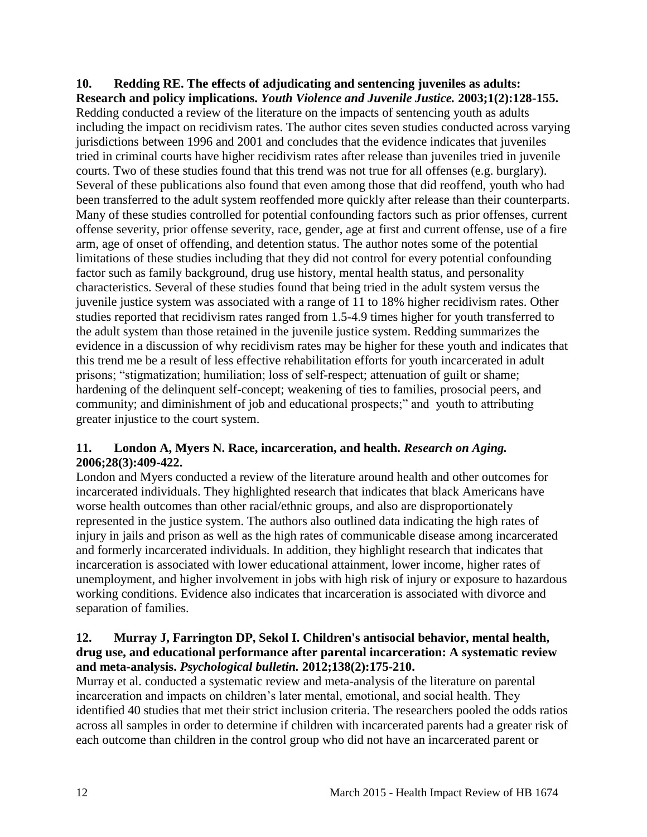<span id="page-13-1"></span>**10. Redding RE. The effects of adjudicating and sentencing juveniles as adults: Research and policy implications.** *Youth Violence and Juvenile Justice.* **2003;1(2):128-155.** Redding conducted a review of the literature on the impacts of sentencing youth as adults including the impact on recidivism rates. The author cites seven studies conducted across varying jurisdictions between 1996 and 2001 and concludes that the evidence indicates that juveniles tried in criminal courts have higher recidivism rates after release than juveniles tried in juvenile courts. Two of these studies found that this trend was not true for all offenses (e.g. burglary). Several of these publications also found that even among those that did reoffend, youth who had been transferred to the adult system reoffended more quickly after release than their counterparts. Many of these studies controlled for potential confounding factors such as prior offenses, current offense severity, prior offense severity, race, gender, age at first and current offense, use of a fire arm, age of onset of offending, and detention status. The author notes some of the potential limitations of these studies including that they did not control for every potential confounding factor such as family background, drug use history, mental health status, and personality characteristics. Several of these studies found that being tried in the adult system versus the juvenile justice system was associated with a range of 11 to 18% higher recidivism rates. Other studies reported that recidivism rates ranged from 1.5-4.9 times higher for youth transferred to the adult system than those retained in the juvenile justice system. Redding summarizes the evidence in a discussion of why recidivism rates may be higher for these youth and indicates that this trend me be a result of less effective rehabilitation efforts for youth incarcerated in adult prisons; "stigmatization; humiliation; loss of self-respect; attenuation of guilt or shame; hardening of the delinquent self-concept; weakening of ties to families, prosocial peers, and community; and diminishment of job and educational prospects;" and youth to attributing greater injustice to the court system.

## <span id="page-13-0"></span>**11. London A, Myers N. Race, incarceration, and health.** *Research on Aging.*  **2006;28(3):409-422.**

London and Myers conducted a review of the literature around health and other outcomes for incarcerated individuals. They highlighted research that indicates that black Americans have worse health outcomes than other racial/ethnic groups, and also are disproportionately represented in the justice system. The authors also outlined data indicating the high rates of injury in jails and prison as well as the high rates of communicable disease among incarcerated and formerly incarcerated individuals. In addition, they highlight research that indicates that incarceration is associated with lower educational attainment, lower income, higher rates of unemployment, and higher involvement in jobs with high risk of injury or exposure to hazardous working conditions. Evidence also indicates that incarceration is associated with divorce and separation of families.

## <span id="page-13-2"></span>**12. Murray J, Farrington DP, Sekol I. Children's antisocial behavior, mental health, drug use, and educational performance after parental incarceration: A systematic review and meta-analysis.** *Psychological bulletin.* **2012;138(2):175-210.**

Murray et al. conducted a systematic review and meta-analysis of the literature on parental incarceration and impacts on children's later mental, emotional, and social health. They identified 40 studies that met their strict inclusion criteria. The researchers pooled the odds ratios across all samples in order to determine if children with incarcerated parents had a greater risk of each outcome than children in the control group who did not have an incarcerated parent or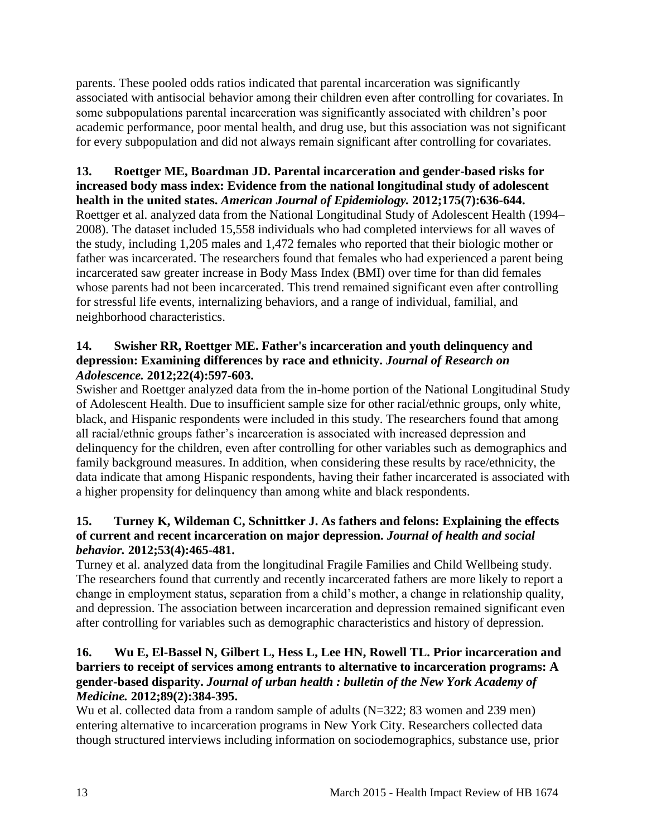parents. These pooled odds ratios indicated that parental incarceration was significantly associated with antisocial behavior among their children even after controlling for covariates. In some subpopulations parental incarceration was significantly associated with children's poor academic performance, poor mental health, and drug use, but this association was not significant for every subpopulation and did not always remain significant after controlling for covariates.

#### **13. Roettger ME, Boardman JD. Parental incarceration and gender-based risks for increased body mass index: Evidence from the national longitudinal study of adolescent health in the united states.** *American Journal of Epidemiology.* **2012;175(7):636-644.**

Roettger et al. analyzed data from the National Longitudinal Study of Adolescent Health (1994– 2008). The dataset included 15,558 individuals who had completed interviews for all waves of the study, including 1,205 males and 1,472 females who reported that their biologic mother or father was incarcerated. The researchers found that females who had experienced a parent being incarcerated saw greater increase in Body Mass Index (BMI) over time for than did females whose parents had not been incarcerated. This trend remained significant even after controlling for stressful life events, internalizing behaviors, and a range of individual, familial, and neighborhood characteristics.

#### **14. Swisher RR, Roettger ME. Father's incarceration and youth delinquency and depression: Examining differences by race and ethnicity.** *Journal of Research on Adolescence.* **2012;22(4):597-603.**

Swisher and Roettger analyzed data from the in-home portion of the National Longitudinal Study of Adolescent Health. Due to insufficient sample size for other racial/ethnic groups, only white, black, and Hispanic respondents were included in this study. The researchers found that among all racial/ethnic groups father's incarceration is associated with increased depression and delinquency for the children, even after controlling for other variables such as demographics and family background measures. In addition, when considering these results by race/ethnicity, the data indicate that among Hispanic respondents, having their father incarcerated is associated with a higher propensity for delinquency than among white and black respondents.

#### <span id="page-14-0"></span>**15. Turney K, Wildeman C, Schnittker J. As fathers and felons: Explaining the effects of current and recent incarceration on major depression.** *Journal of health and social behavior.* **2012;53(4):465-481.**

Turney et al. analyzed data from the longitudinal Fragile Families and Child Wellbeing study. The researchers found that currently and recently incarcerated fathers are more likely to report a change in employment status, separation from a child's mother, a change in relationship quality, and depression. The association between incarceration and depression remained significant even after controlling for variables such as demographic characteristics and history of depression.

## <span id="page-14-1"></span>**16. Wu E, El-Bassel N, Gilbert L, Hess L, Lee HN, Rowell TL. Prior incarceration and barriers to receipt of services among entrants to alternative to incarceration programs: A gender-based disparity.** *Journal of urban health : bulletin of the New York Academy of Medicine.* **2012;89(2):384-395.**

Wu et al. collected data from a random sample of adults (N=322; 83 women and 239 men) entering alternative to incarceration programs in New York City. Researchers collected data though structured interviews including information on sociodemographics, substance use, prior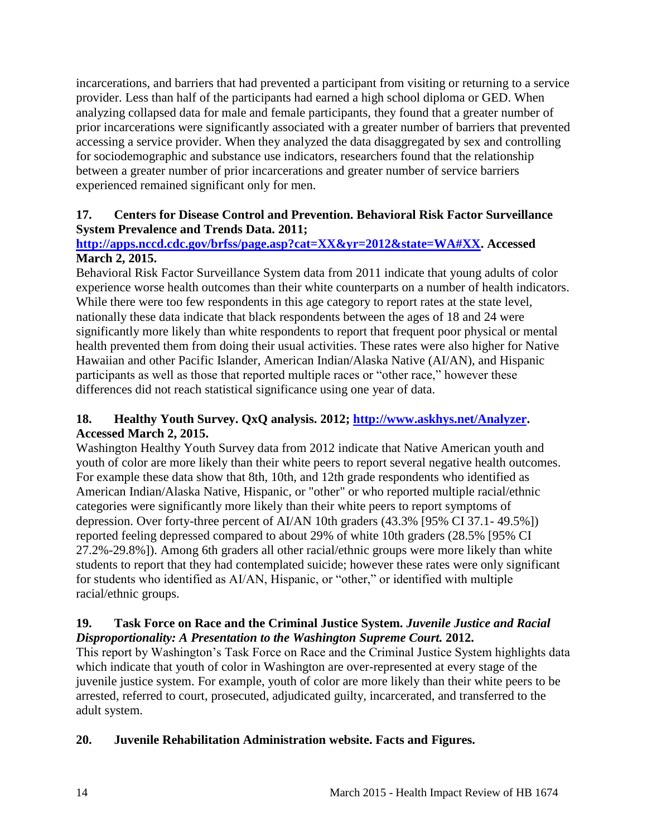incarcerations, and barriers that had prevented a participant from visiting or returning to a service provider. Less than half of the participants had earned a high school diploma or GED. When analyzing collapsed data for male and female participants, they found that a greater number of prior incarcerations were significantly associated with a greater number of barriers that prevented accessing a service provider. When they analyzed the data disaggregated by sex and controlling for sociodemographic and substance use indicators, researchers found that the relationship between a greater number of prior incarcerations and greater number of service barriers experienced remained significant only for men.

## <span id="page-15-0"></span>**17. Centers for Disease Control and Prevention. Behavioral Risk Factor Surveillance System Prevalence and Trends Data. 2011;**

# **[http://apps.nccd.cdc.gov/brfss/page.asp?cat=XX&yr=2012&state=WA#XX.](http://apps.nccd.cdc.gov/brfss/page.asp?cat=XX&yr=2012&state=WA#XX) Accessed March 2, 2015.**

Behavioral Risk Factor Surveillance System data from 2011 indicate that young adults of color experience worse health outcomes than their white counterparts on a number of health indicators. While there were too few respondents in this age category to report rates at the state level, nationally these data indicate that black respondents between the ages of 18 and 24 were significantly more likely than white respondents to report that frequent poor physical or mental health prevented them from doing their usual activities. These rates were also higher for Native Hawaiian and other Pacific Islander, American Indian/Alaska Native (AI/AN), and Hispanic participants as well as those that reported multiple races or "other race," however these differences did not reach statistical significance using one year of data.

# <span id="page-15-1"></span>**18. Healthy Youth Survey. QxQ analysis. 2012; [http://www.askhys.net/Analyzer.](http://www.askhys.net/Analyzer) Accessed March 2, 2015.**

Washington Healthy Youth Survey data from 2012 indicate that Native American youth and youth of color are more likely than their white peers to report several negative health outcomes. For example these data show that 8th, 10th, and 12th grade respondents who identified as American Indian/Alaska Native, Hispanic, or "other" or who reported multiple racial/ethnic categories were significantly more likely than their white peers to report symptoms of depression. Over forty-three percent of AI/AN 10th graders (43.3% [95% CI 37.1- 49.5%]) reported feeling depressed compared to about 29% of white 10th graders (28.5% [95% CI 27.2%-29.8%]). Among 6th graders all other racial/ethnic groups were more likely than white students to report that they had contemplated suicide; however these rates were only significant for students who identified as AI/AN, Hispanic, or "other," or identified with multiple racial/ethnic groups.

## <span id="page-15-2"></span>**19. Task Force on Race and the Criminal Justice System.** *Juvenile Justice and Racial Disproportionality: A Presentation to the Washington Supreme Court.* **2012.**

This report by Washington's Task Force on Race and the Criminal Justice System highlights data which indicate that youth of color in Washington are over-represented at every stage of the juvenile justice system. For example, youth of color are more likely than their white peers to be arrested, referred to court, prosecuted, adjudicated guilty, incarcerated, and transferred to the adult system.

# <span id="page-15-3"></span>**20. Juvenile Rehabilitation Administration website. Facts and Figures.**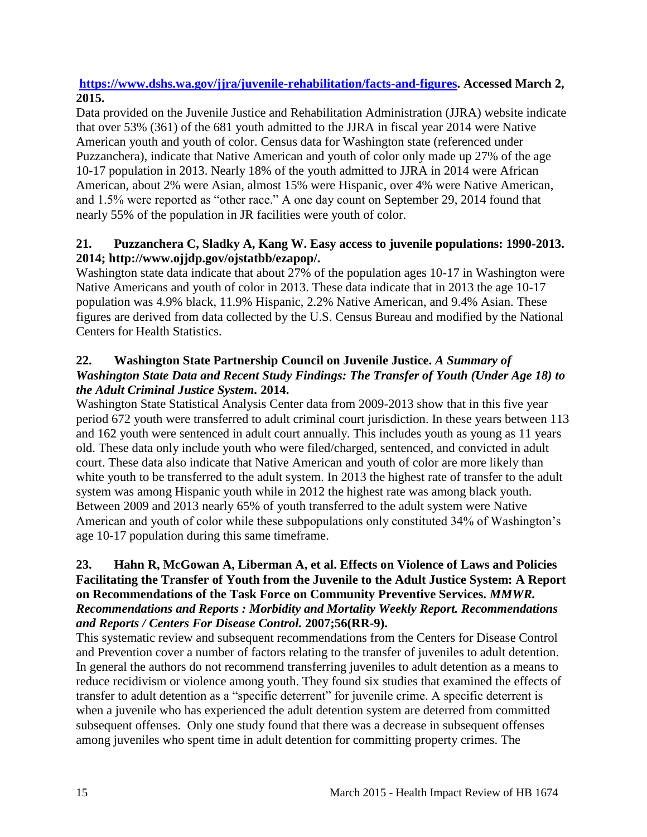## **https:/[/www.dshs.wa.gov/jjra/juvenile-rehabilitation/facts-and-figures.](http://www.dshs.wa.gov/jjra/juvenile-rehabilitation/facts-and-figures) Accessed March 2, 2015.**

Data provided on the Juvenile Justice and Rehabilitation Administration (JJRA) website indicate that over 53% (361) of the 681 youth admitted to the JJRA in fiscal year 2014 were Native American youth and youth of color. Census data for Washington state (referenced under Puzzanchera), indicate that Native American and youth of color only made up 27% of the age 10-17 population in 2013. Nearly 18% of the youth admitted to JJRA in 2014 were African American, about 2% were Asian, almost 15% were Hispanic, over 4% were Native American, and 1.5% were reported as "other race." A one day count on September 29, 2014 found that nearly 55% of the population in JR facilities were youth of color.

# <span id="page-16-1"></span>**21. Puzzanchera C, Sladky A, Kang W. Easy access to juvenile populations: 1990-2013. 2014; http://www.ojjdp.gov/ojstatbb/ezapop/.**

Washington state data indicate that about 27% of the population ages 10-17 in Washington were Native Americans and youth of color in 2013. These data indicate that in 2013 the age 10-17 population was 4.9% black, 11.9% Hispanic, 2.2% Native American, and 9.4% Asian. These figures are derived from data collected by the U.S. Census Bureau and modified by the National Centers for Health Statistics.

# <span id="page-16-0"></span>**22. Washington State Partnership Council on Juvenile Justice.** *A Summary of Washington State Data and Recent Study Findings: The Transfer of Youth (Under Age 18) to the Adult Criminal Justice System.* **2014.**

Washington State Statistical Analysis Center data from 2009-2013 show that in this five year period 672 youth were transferred to adult criminal court jurisdiction. In these years between 113 and 162 youth were sentenced in adult court annually. This includes youth as young as 11 years old. These data only include youth who were filed/charged, sentenced, and convicted in adult court. These data also indicate that Native American and youth of color are more likely than white youth to be transferred to the adult system. In 2013 the highest rate of transfer to the adult system was among Hispanic youth while in 2012 the highest rate was among black youth. Between 2009 and 2013 nearly 65% of youth transferred to the adult system were Native American and youth of color while these subpopulations only constituted 34% of Washington's age 10-17 population during this same timeframe.

## <span id="page-16-2"></span>**23. Hahn R, McGowan A, Liberman A, et al. Effects on Violence of Laws and Policies Facilitating the Transfer of Youth from the Juvenile to the Adult Justice System: A Report on Recommendations of the Task Force on Community Preventive Services.** *MMWR. Recommendations and Reports : Morbidity and Mortality Weekly Report. Recommendations and Reports / Centers For Disease Control.* **2007;56(RR-9).**

This systematic review and subsequent recommendations from the Centers for Disease Control and Prevention cover a number of factors relating to the transfer of juveniles to adult detention. In general the authors do not recommend transferring juveniles to adult detention as a means to reduce recidivism or violence among youth. They found six studies that examined the effects of transfer to adult detention as a "specific deterrent" for juvenile crime. A specific deterrent is when a juvenile who has experienced the adult detention system are deterred from committed subsequent offenses. Only one study found that there was a decrease in subsequent offenses among juveniles who spent time in adult detention for committing property crimes. The